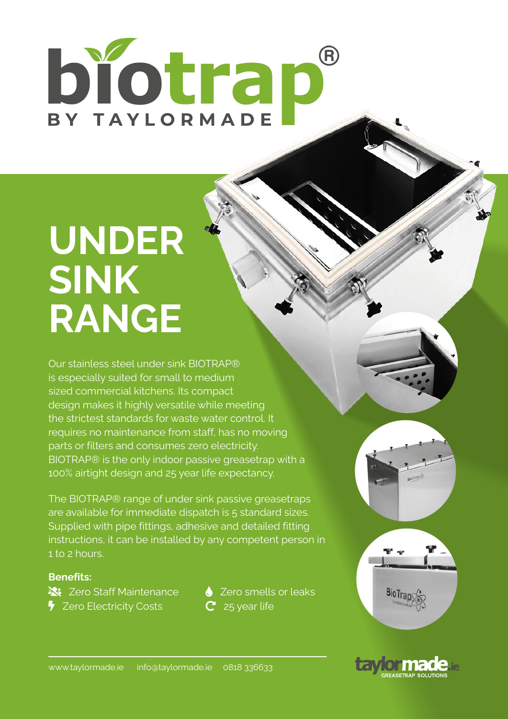# biotrap BY TAYLORMADE

## **UNDER SINK RANGE**

Our stainless steel under sink BIOTRAP® is especially suited for small to medium sized commercial kitchens. Its compact design makes it highly versatile while meeting the strictest standards for waste water control. It requires no maintenance from staff, has no moving parts or filters and consumes zero electricity. BIOTRAP® is the only indoor passive greasetrap with a 100% airtight design and 25 year life expectancy.

The BIOTRAP® range of under sink passive greasetraps are available for immediate dispatch is 5 standard sizes. Supplied with pipe fittings, adhesive and detailed fitting instructions, it can be installed by any competent person in 1 to 2 hours.

### **Benefits:**

**X:** Zero Staff Maintenance **a** Zero smells or leaks  $\overline{\phantom{a}}$  Zero Electricity Costs  $\overline{\phantom{a}}$  25 year life





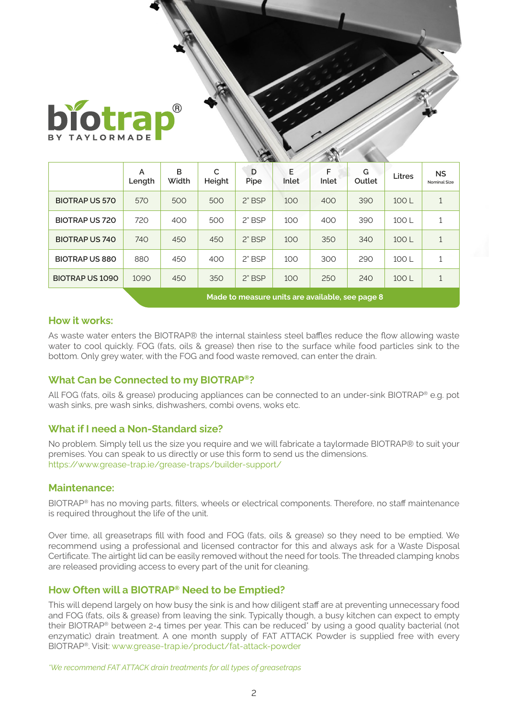

|                        | <b>CALCULATION</b><br><b><i>CONTACT REAL T</i></b> |            |             |           |            |            |             |        |                                  |
|------------------------|----------------------------------------------------|------------|-------------|-----------|------------|------------|-------------|--------|----------------------------------|
|                        | A<br>Length                                        | в<br>Width | C<br>Height | D<br>Pipe | E<br>Inlet | F<br>Inlet | G<br>Outlet | Litres | <b>NS</b><br><b>Nominal Size</b> |
| <b>BIOTRAP US 570</b>  | 570                                                | 500        | 500         | $2"$ BSP  | 100        | 400        | 390         | 100L   |                                  |
| <b>BIOTRAP US 720</b>  | 720                                                | 400        | 500         | 2" BSP    | 100        | 400        | 390         | 100 L  |                                  |
| <b>BIOTRAP US 740</b>  | 740                                                | 450        | 450         | $2"$ BSP  | 100        | 350        | 340         | 100L   |                                  |
| <b>BIOTRAP US 880</b>  | 880                                                | 450        | 400         | $2"$ BSP  | 100        | 300        | 290         | 100 L  |                                  |
| <b>BIOTRAP US 1090</b> | 1090                                               | 450        | 350         | $2"$ BSP  | 100        | 250        | 240         | 100L   |                                  |

**Made to measure units are available, see page 8**

#### **How it works:**

As waste water enters the BIOTRAP® the internal stainless steel baffles reduce the flow allowing waste water to cool quickly. FOG (fats, oils & grease) then rise to the surface while food particles sink to the bottom. Only grey water, with the FOG and food waste removed, can enter the drain.

### **What Can be Connected to my BIOTRAP®?**

All FOG (fats, oils & grease) producing appliances can be connected to an under-sink BIOTRAP® e.g. pot wash sinks, pre wash sinks, dishwashers, combi ovens, woks etc.

### **What if I need a Non-Standard size?**

No problem. Simply tell us the size you require and we will fabricate a taylormade BIOTRAP® to suit your premises. You can speak to us directly or use this form to send us the dimensions. https://www.grease-trap.ie/grease-traps/builder-support/

#### **Maintenance:**

BIOTRAP® has no moving parts, filters, wheels or electrical components. Therefore, no staff maintenance is required throughout the life of the unit.

Over time, all greasetraps fill with food and FOG (fats, oils & grease) so they need to be emptied. We recommend using a professional and licensed contractor for this and always ask for a Waste Disposal Certificate. The airtight lid can be easily removed without the need for tools. The threaded clamping knobs are released providing access to every part of the unit for cleaning.

### **How Often will a BIOTRAP® Need to be Emptied?**

This will depend largely on how busy the sink is and how diligent staff are at preventing unnecessary food and FOG (fats, oils & grease) from leaving the sink. Typically though, a busy kitchen can expect to empty their BIOTRAP® between 2-4 times per year. This can be reduced\* by using a good quality bacterial (not enzymatic) drain treatment. A one month supply of FAT ATTACK Powder is supplied free with every BIOTRAP®. Visit: www.grease-trap.ie/product/fat-attack-powder

*\*We recommend FAT ATTACK drain treatments for all types of greasetraps*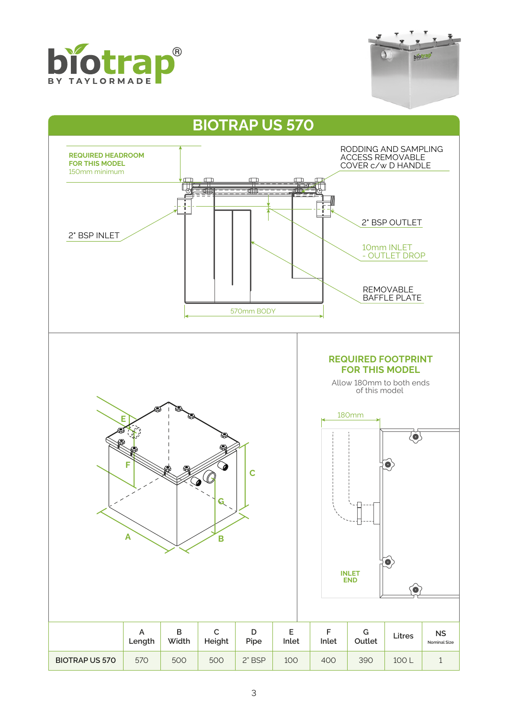



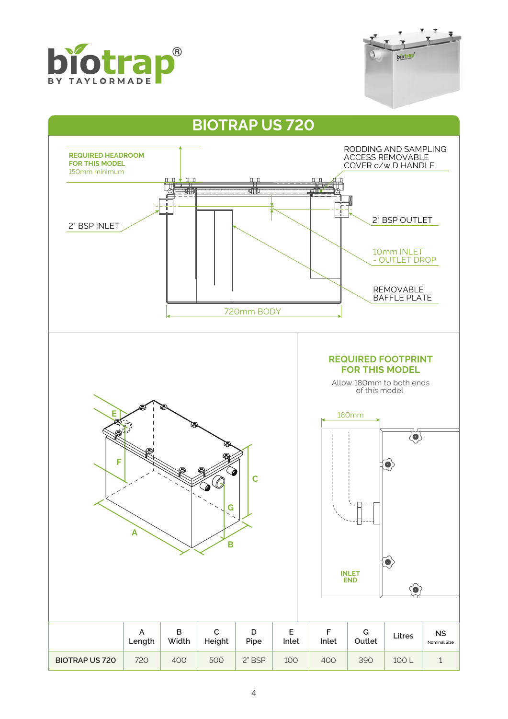



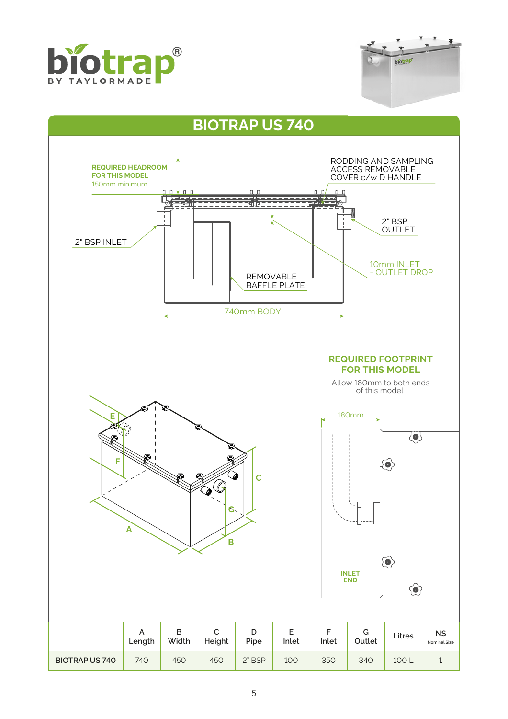



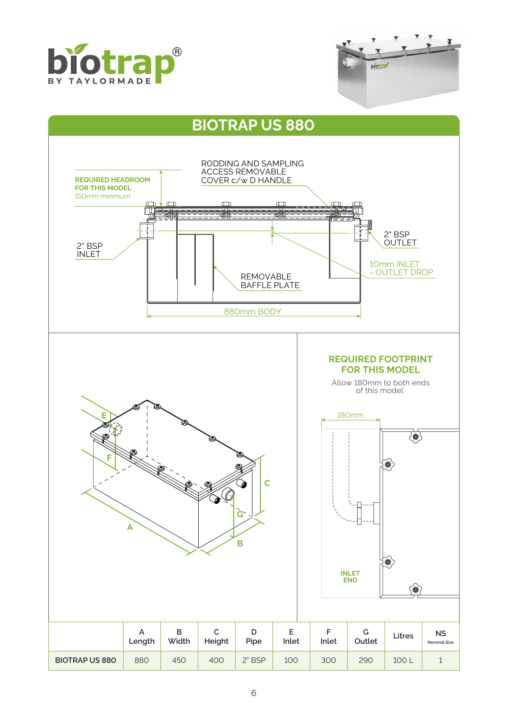



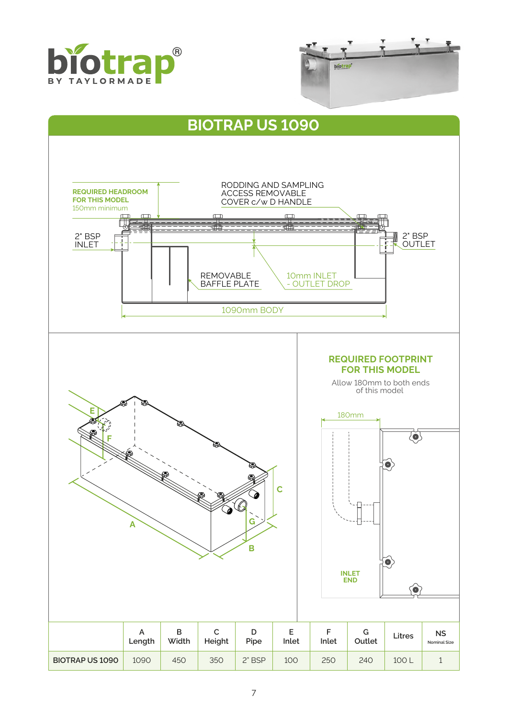